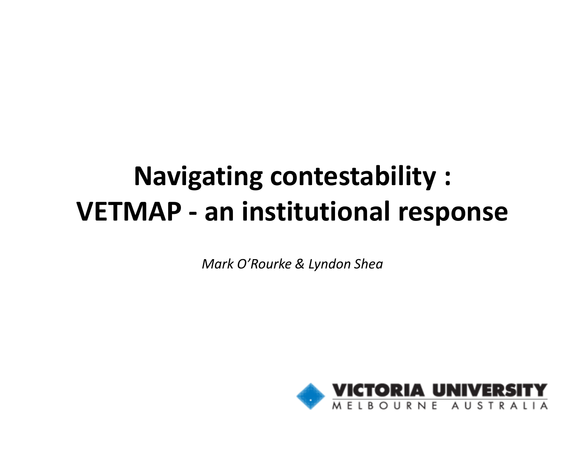#### Navigating contestability :VETMAP -- an institutional response

Mark O'Rourke & Lyndon Shea

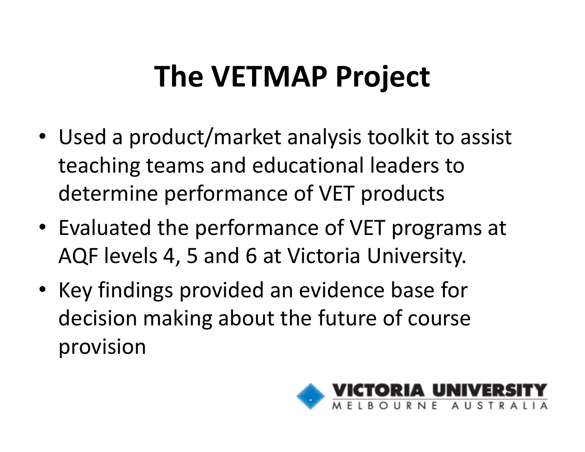## The VETMAP Project

- Used a product/market analysis toolkit to assist teaching teams and educational leaders to determine performance of VET products
- Evaluated the performance of VET programs at AQF levels 4, 5 and 6 at Victoria University.
- Key findings provided an evidence base for decision making about the future of course provision

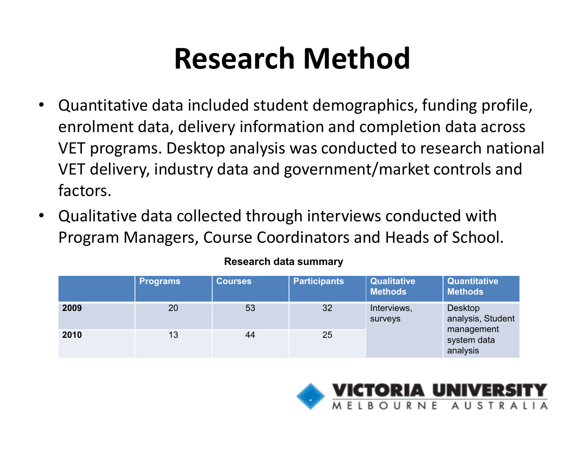#### Research Method

- • Quantitative data included student demographics, funding profile, enrolment data, delivery information and completion data across VET programs. Desktop analysis was conducted to research national VET delivery, industry data and government/market controls and factors.
- Qualitative data collected through interviews conducted with Program Managers, Course Coordinators and Heads of School.

|      | <b>Programs</b> | <b>Courses</b> | <b>Participants</b> | <b>Qualitative</b><br><b>Methods</b> | <b>Quantitative</b><br><b>Methods</b> |
|------|-----------------|----------------|---------------------|--------------------------------------|---------------------------------------|
| 2009 | 20              | 53             | 32                  | Interviews,<br>surveys               | <b>Desktop</b><br>analysis, Student   |
| 2010 | 13              | 44             | 25                  |                                      | management<br>system data<br>analysis |

#### Research data summary

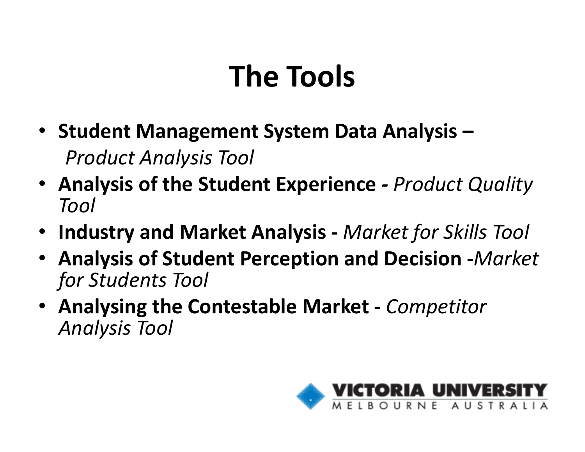#### The Tools

- Student Management System Data Analysis –Product Analysis Tool
- Analysis of the Student Experience Product Quality Tool
- Industry and Market Analysis Market for Skills Tool
- Analysis of Student Perception and Decision -Market for Students Tool
- Analysing the Contestable Market Competitor Analysis Tool

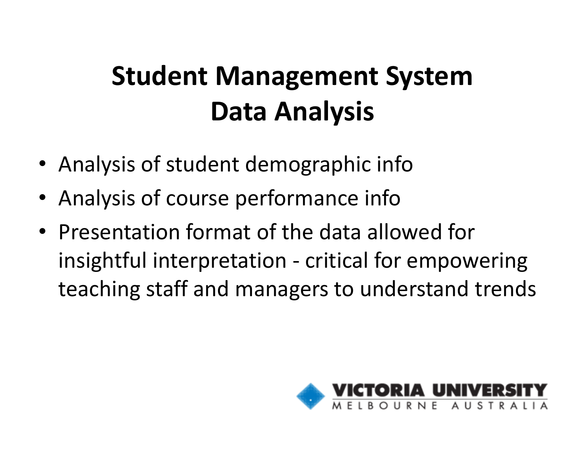#### Student Management System Data Analysis

- Analysis of student demographic info
- Analysis of course performance info
- Presentation format of the data allowed for insightful interpretation - critical for empowering teaching staff and managers to understand trends

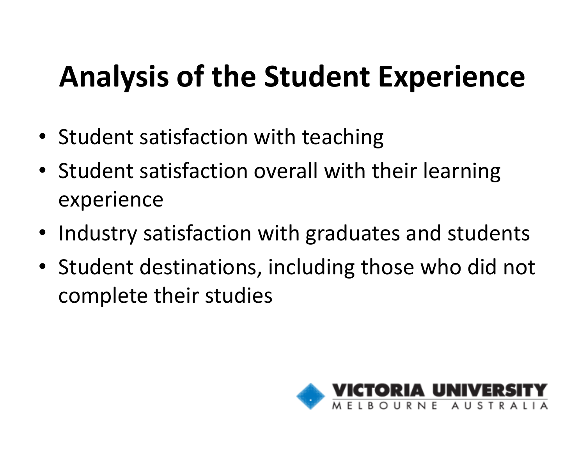## Analysis of the Student Experience

- Student satisfaction with teaching
- Student satisfaction overall with their learning experience
- Industry satisfaction with graduates and students
- Student destinations, including those who did not complete their studies

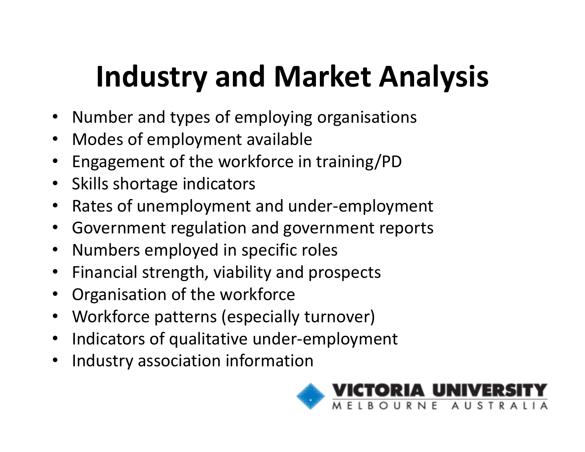## Industry and Market Analysis

- Number and types of employing organisations
- Modes of employment available
- Engagement of the workforce in training/PD
- Skills shortage indicators
- $\bullet$ Rates of unemployment and under-employment
- Government regulation and government reports
- Numbers employed in specific roles
- Financial strength, viability and prospects
- Organisation of the workforce
- Workforce patterns (especially turnover)
- Indicators of qualitative under-employment
- $\bullet$ Industry association information

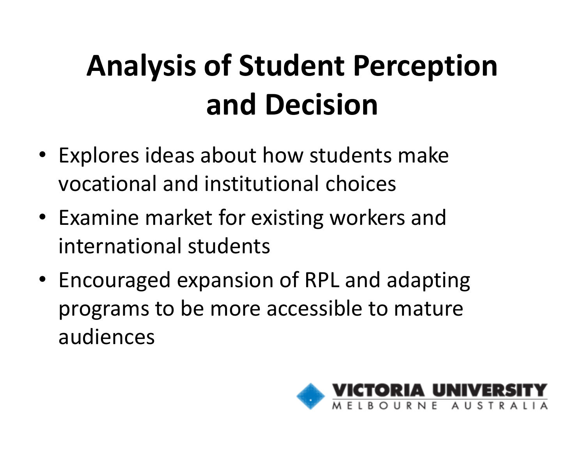# Analysis of Student Perception and Decision

- Explores ideas about how students make vocational and institutional choices
- Examine market for existing workers and international students
- Encouraged expansion of RPL and adapting programs to be more accessible to mature audiences

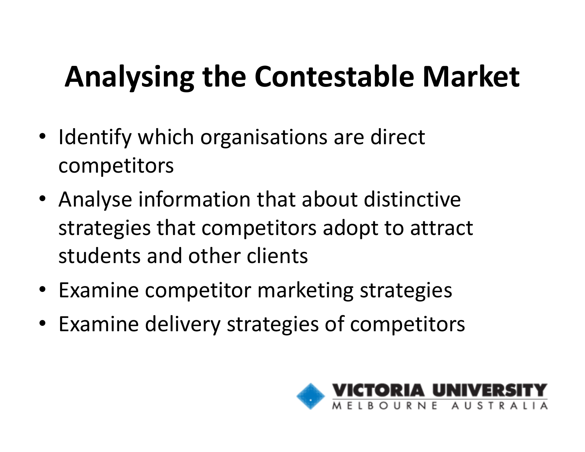## Analysing the Contestable Market

- Identify which organisations are direct competitors
- Analyse information that about distinctive strategies that competitors adopt to attract students and other clients
- Examine competitor marketing strategies
- Examine delivery strategies of competitors